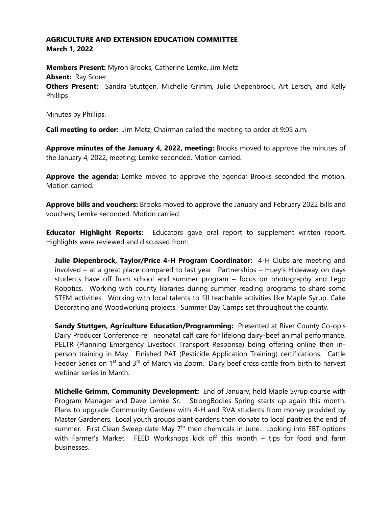## **AGRICULTURE AND EXTENSION EDUCATION COMMITTEE March 1, 2022**

**Members Present:** Myron Brooks, Catherine Lemke, Jim Metz **Absent:** Ray Soper **Others Present:** Sandra Stuttgen, Michelle Grimm, Julie Diepenbrock, Art Lersch, and Kelly Phillips

Minutes by Phillips.

**Call meeting to order:** Jim Metz, Chairman called the meeting to order at 9:05 a.m.

**Approve minutes of the January 4, 2022, meeting:** Brooks moved to approve the minutes of the January 4, 2022, meeting; Lemke seconded. Motion carried.

**Approve the agenda:** Lemke moved to approve the agenda; Brooks seconded the motion. Motion carried.

**Approve bills and vouchers:** Brooks moved to approve the January and February 2022 bills and vouchers; Lemke seconded. Motion carried.

**Educator Highlight Reports:** Educators gave oral report to supplement written report. Highlights were reviewed and discussed from:

**Julie Diepenbrock, Taylor/Price 4-H Program Coordinator:** 4-H Clubs are meeting and involved – at a great place compared to last year. Partnerships – Huey's Hideaway on days students have off from school and summer program – focus on photography and Lego Robotics. Working with county libraries during summer reading programs to share some STEM activities. Working with local talents to fill teachable activities like Maple Syrup, Cake Decorating and Woodworking projects. Summer Day Camps set throughout the county.

**Sandy Stuttgen, Agriculture Education/Programming:** Presented at River County Co-op's Dairy Producer Conference re: neonatal calf care for lifelong dairy-beef animal performance. PELTR (Planning Emergency Livestock Transport Response) being offering online then inperson training in May. Finished PAT (Pesticide Application Training) certifications. Cattle Feeder Series on 1<sup>st</sup> and 3<sup>rd</sup> of March via Zoom. Dairy beef cross cattle from birth to harvest webinar series in March.

**Michelle Grimm, Community Development:** End of January, held Maple Syrup course with Program Manager and Dave Lemke Sr. StrongBodies Spring starts up again this month. Plans to upgrade Community Gardens with 4-H and RVA students from money provided by Master Gardeners. Local youth groups plant gardens then donate to local pantries the end of summer. First Clean Sweep date May  $7<sup>th</sup>$  then chemicals in June. Looking into EBT options with Farmer's Market. FEED Workshops kick off this month – tips for food and farm businesses.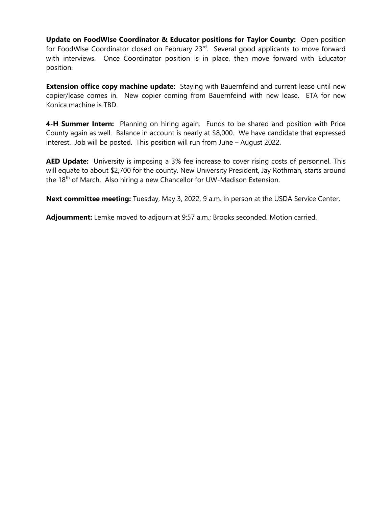**Update on FoodWIse Coordinator & Educator positions for Taylor County:** Open position for FoodWIse Coordinator closed on February 23rd. Several good applicants to move forward with interviews. Once Coordinator position is in place, then move forward with Educator position.

**Extension office copy machine update:** Staying with Bauernfeind and current lease until new copier/lease comes in. New copier coming from Bauernfeind with new lease. ETA for new Konica machine is TBD.

**4-H Summer Intern:** Planning on hiring again. Funds to be shared and position with Price County again as well. Balance in account is nearly at \$8,000. We have candidate that expressed interest. Job will be posted. This position will run from June – August 2022.

**AED Update:** University is imposing a 3% fee increase to cover rising costs of personnel. This will equate to about \$2,700 for the county. New University President, Jay Rothman, starts around the 18<sup>th</sup> of March. Also hiring a new Chancellor for UW-Madison Extension.

**Next committee meeting:** Tuesday, May 3, 2022, 9 a.m. in person at the USDA Service Center.

**Adjournment:** Lemke moved to adjourn at 9:57 a.m.; Brooks seconded. Motion carried.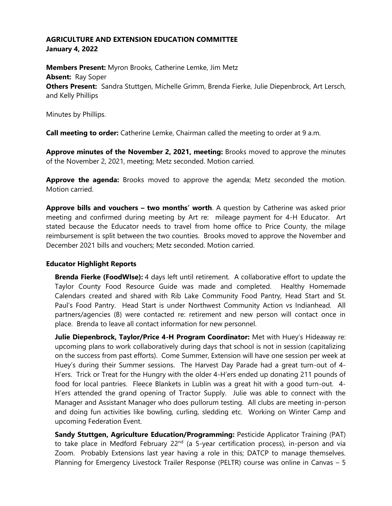## **AGRICULTURE AND EXTENSION EDUCATION COMMITTEE January 4, 2022**

**Members Present:** Myron Brooks, Catherine Lemke, Jim Metz **Absent:** Ray Soper **Others Present:** Sandra Stuttgen, Michelle Grimm, Brenda Fierke, Julie Diepenbrock, Art Lersch, and Kelly Phillips

Minutes by Phillips.

**Call meeting to order:** Catherine Lemke, Chairman called the meeting to order at 9 a.m.

**Approve minutes of the November 2, 2021, meeting:** Brooks moved to approve the minutes of the November 2, 2021, meeting; Metz seconded. Motion carried.

**Approve the agenda:** Brooks moved to approve the agenda; Metz seconded the motion. Motion carried.

**Approve bills and vouchers – two months' worth**. A question by Catherine was asked prior meeting and confirmed during meeting by Art re: mileage payment for 4-H Educator. Art stated because the Educator needs to travel from home office to Price County, the milage reimbursement is split between the two counties. Brooks moved to approve the November and December 2021 bills and vouchers; Metz seconded. Motion carried.

## **Educator Highlight Reports**

**Brenda Fierke (FoodWIse):** 4 days left until retirement. A collaborative effort to update the Taylor County Food Resource Guide was made and completed. Healthy Homemade Calendars created and shared with Rib Lake Community Food Pantry, Head Start and St. Paul's Food Pantry. Head Start is under Northwest Community Action vs Indianhead. All partners/agencies (8) were contacted re: retirement and new person will contact once in place. Brenda to leave all contact information for new personnel.

**Julie Diepenbrock, Taylor/Price 4-H Program Coordinator:** Met with Huey's Hideaway re: upcoming plans to work collaboratively during days that school is not in session (capitalizing on the success from past efforts). Come Summer, Extension will have one session per week at Huey's during their Summer sessions. The Harvest Day Parade had a great turn-out of 4- H'ers. Trick or Treat for the Hungry with the older 4-H'ers ended up donating 211 pounds of food for local pantries. Fleece Blankets in Lublin was a great hit with a good turn-out. 4- H'ers attended the grand opening of Tractor Supply. Julie was able to connect with the Manager and Assistant Manager who does pullorum testing. All clubs are meeting in-person and doing fun activities like bowling, curling, sledding etc. Working on Winter Camp and upcoming Federation Event.

**Sandy Stuttgen, Agriculture Education/Programming:** Pesticide Applicator Training (PAT) to take place in Medford February 22<sup>nd</sup> (a 5-year certification process), in-person and via Zoom. Probably Extensions last year having a role in this; DATCP to manage themselves. Planning for Emergency Livestock Trailer Response (PELTR) course was online in Canvas – 5